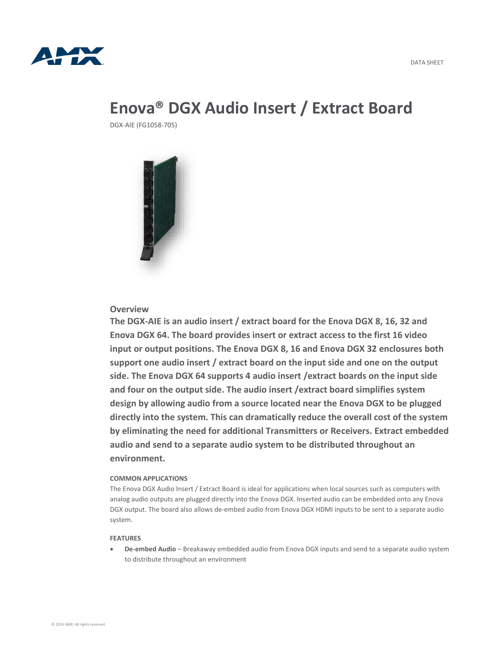

# **Enova® DGX Audio Insert / Extract Board**

DGX-AIE (FG1058-705)



# **Overview**

**The DGX-AIE is an audio insert / extract board for the Enova DGX 8, 16, 32 and Enova DGX 64. The board provides insert or extract access to the first 16 video input or output positions. The Enova DGX 8, 16 and Enova DGX 32 enclosures both support one audio insert / extract board on the input side and one on the output side. The Enova DGX 64 supports 4 audio insert /extract boards on the input side and four on the output side. The audio insert /extract board simplifies system design by allowing audio from a source located near the Enova DGX to be plugged directly into the system. This can dramatically reduce the overall cost of the system by eliminating the need for additional Transmitters or Receivers. Extract embedded audio and send to a separate audio system to be distributed throughout an environment.**

## **COMMON APPLICATIONS**

The Enova DGX Audio Insert / Extract Board is ideal for applications when local sources such as computers with analog audio outputs are plugged directly into the Enova DGX. Inserted audio can be embedded onto any Enova DGX output. The board also allows de-embed audio from Enova DGX HDMI inputs to be sent to a separate audio system.

### **FEATURES**

 **De-embed Audio** – Breakaway embedded audio from Enova DGX inputs and send to a separate audio system to distribute throughout an environment